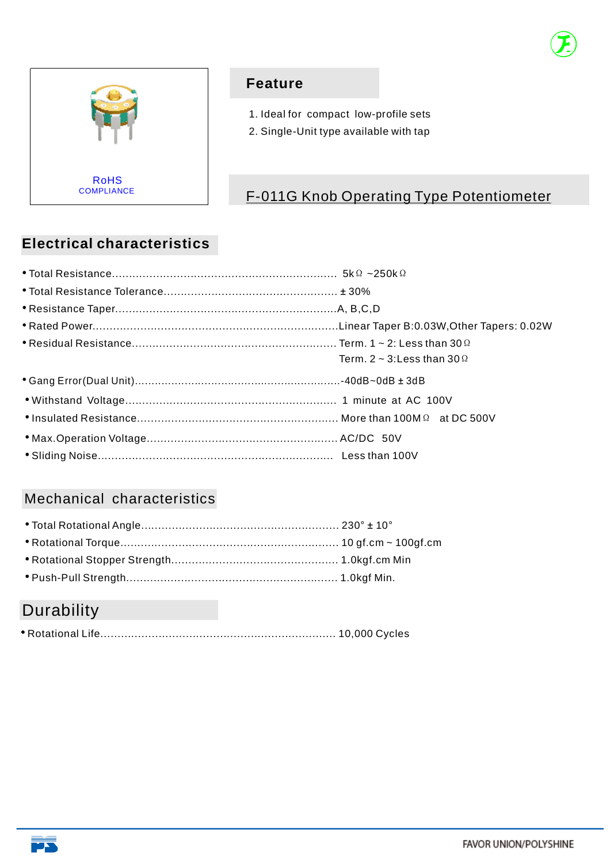



### **Feature**

- 1. Ideal for compact low-profile sets
- 2. Single-Unit type available with tap

# F-011G Knob Operating Type Potentiometer

# **Electrical characteristics**

| Term. 2 ~ 3: Less than 30 $\Omega$ |
|------------------------------------|
|                                    |
|                                    |
|                                    |
|                                    |
|                                    |

## Mechanical characteristics

# **Durability**

|--|--|--|--|

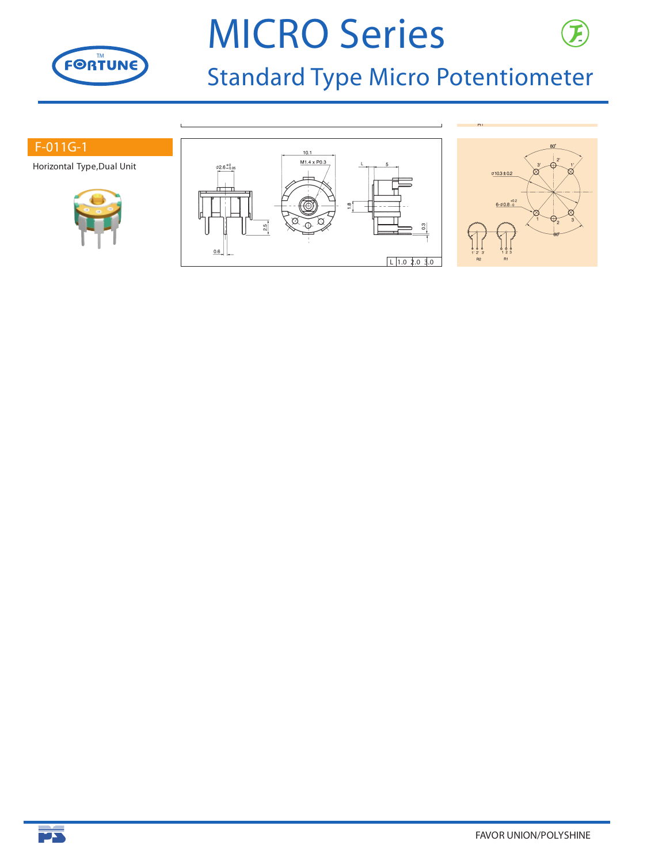

# **MICRO Series**



#### **F-011G-1**